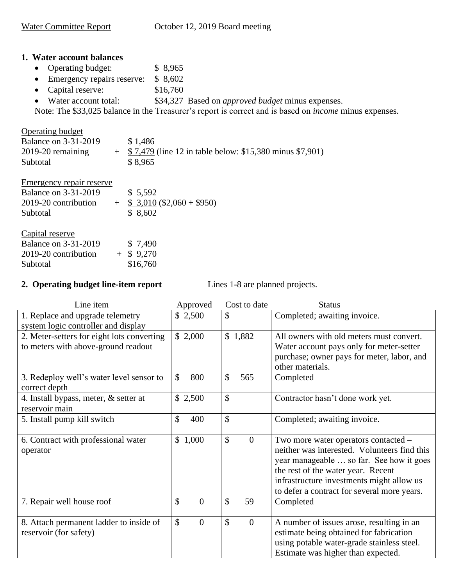## **1. Water account balances**

- Operating budget: \$ 8,965
- Emergency repairs reserve: \$8,602
- Capital reserve: \$16,760
- Water account total: \$34,327 Based on *approved budget* minus expenses.

Note: The \$33,025 balance in the Treasurer's report is correct and is based on *income* minus expenses.

| <b>Operating budget</b><br><b>Balance on 3-31-2019</b><br>$2019-20$ remaining<br>Subtotal | \$1,486<br>$\pm$ \$7,479 (line 12 in table below: \$15,380 minus \$7,901)<br>\$8.965 |
|-------------------------------------------------------------------------------------------|--------------------------------------------------------------------------------------|
|                                                                                           |                                                                                      |

| <b>Emergency repair reserve</b>                        |                          |
|--------------------------------------------------------|--------------------------|
| <b>Balance on 3-31-2019</b>                            | \$5,592                  |
| 2019-20 contribution                                   | $$3,010 ($2,060 + $950)$ |
| Subtotal                                               | \$8,602                  |
| Capital reserve                                        |                          |
| $D_{\text{obs}}$ and $D_{\text{max}}$ $D_{\text{max}}$ | 0.7100                   |

| <b>Balance on 3-31-2019</b> | \$7,490      |
|-----------------------------|--------------|
| 2019-20 contribution        | $+$ \$ 9,270 |
| Subtotal                    | \$16,760     |

## **2. Operating budget line-item report** Lines 1-8 are planned projects.

| Line item                                                                         | Approved                        | Cost to date                    | <b>Status</b>                                                                                                                                                                                                                                                      |
|-----------------------------------------------------------------------------------|---------------------------------|---------------------------------|--------------------------------------------------------------------------------------------------------------------------------------------------------------------------------------------------------------------------------------------------------------------|
| 1. Replace and upgrade telemetry<br>system logic controller and display           | \$2,500                         | $\mathcal{S}$                   | Completed; awaiting invoice.                                                                                                                                                                                                                                       |
| 2. Meter-setters for eight lots converting<br>to meters with above-ground readout | \$2,000                         | \$1,882                         | All owners with old meters must convert.<br>Water account pays only for meter-setter<br>purchase; owner pays for meter, labor, and<br>other materials.                                                                                                             |
| 3. Redeploy well's water level sensor to<br>correct depth                         | \$<br>800                       | \$<br>565                       | Completed                                                                                                                                                                                                                                                          |
| 4. Install bypass, meter, & setter at<br>reservoir main                           | \$2,500                         | $\mathcal{S}$                   | Contractor hasn't done work yet.                                                                                                                                                                                                                                   |
| 5. Install pump kill switch                                                       | \$<br>400                       | $\mathcal{S}$                   | Completed; awaiting invoice.                                                                                                                                                                                                                                       |
| 6. Contract with professional water<br>operator                                   | \$1,000                         | $\mathcal{S}$<br>$\theta$       | Two more water operators contacted -<br>neither was interested. Volunteers find this<br>year manageable  so far. See how it goes<br>the rest of the water year. Recent<br>infrastructure investments might allow us<br>to defer a contract for several more years. |
| 7. Repair well house roof                                                         | \$<br>$\overline{0}$            | $\mathcal{S}$<br>59             | Completed                                                                                                                                                                                                                                                          |
| 8. Attach permanent ladder to inside of<br>reservoir (for safety)                 | $\mathcal{S}$<br>$\overline{0}$ | $\mathcal{S}$<br>$\overline{0}$ | A number of issues arose, resulting in an<br>estimate being obtained for fabrication<br>using potable water-grade stainless steel.<br>Estimate was higher than expected.                                                                                           |